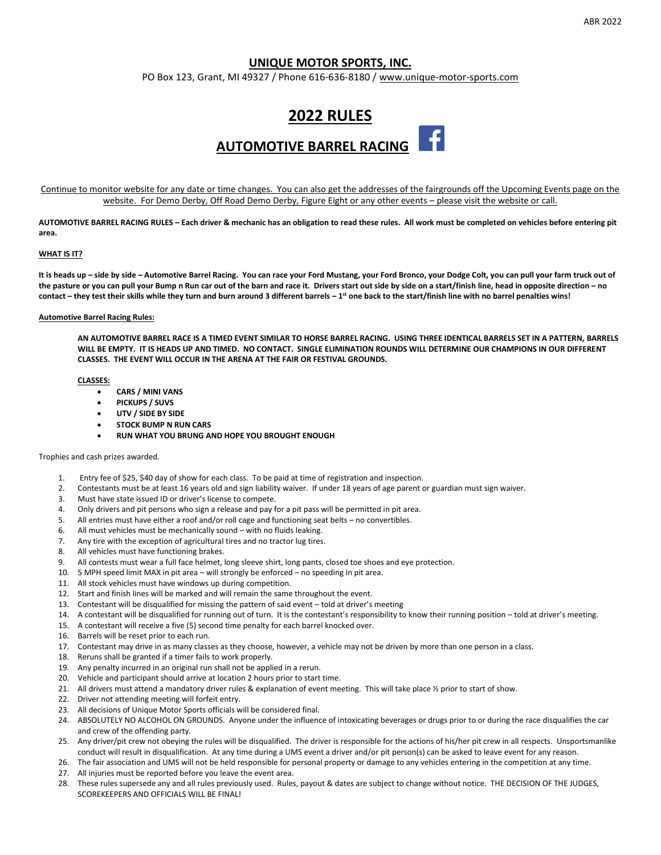# **UNIQUE MOTOR SPORTS, INC.**

PO Box 123, Grant, MI 49327 / Phone 616-636-8180 [/ www.unique-motor-sports.com](http://www.unique-motor-sports.com/)



Continue to monitor website for any date or time changes. You can also get the addresses of the fairgrounds off the Upcoming Events page on the website. For Demo Derby, Off Road Demo Derby, Figure Eight or any other events – please visit the website or call.

**AUTOMOTIVE BARREL RACING RULES – Each driver & mechanic has an obligation to read these rules. All work must be completed on vehicles before entering pit area.**

#### **WHAT IS IT?**

**It is heads up – side by side – Automotive Barrel Racing. You can race your Ford Mustang, your Ford Bronco, your Dodge Colt, you can pull your farm truck out of the pasture or you can pull your Bump n Run car out of the barn and race it. Drivers start out side by side on a start/finish line, head in opposite direction – no**  contact – they test their skills while they turn and burn around 3 different barrels – 1<sup>st</sup> one back to the start/finish line with no barrel penalties wins!

#### **Automotive Barrel Racing Rules:**

**AN AUTOMOTIVE BARREL RACE IS A TIMED EVENT SIMILAR TO HORSE BARREL RACING. USING THREE IDENTICAL BARRELS SET IN A PATTERN, BARRELS WILL BE EMPTY. IT IS HEADS UP AND TIMED. NO CONTACT. SINGLE ELIMINATION ROUNDS WILL DETERMINE OUR CHAMPIONS IN OUR DIFFERENT CLASSES. THE EVENT WILL OCCUR IN THE ARENA AT THE FAIR OR FESTIVAL GROUNDS.** 

#### **CLASSES:**

- **CARS / MINI VANS**
- **PICKUPS / SUVS**
- **UTV / SIDE BY SIDE**
- **STOCK BUMP N RUN CARS**
- **RUN WHAT YOU BRUNG AND HOPE YOU BROUGHT ENOUGH**

#### Trophies and cash prizes awarded.

- 1. Entry fee of \$25, \$40 day of show for each class. To be paid at time of registration and inspection.
- 2. Contestants must be at least 16 years old and sign liability waiver. If under 18 years of age parent or guardian must sign waiver.
- 3. Must have state issued ID or driver's license to compete.
- 4. Only drivers and pit persons who sign a release and pay for a pit pass will be permitted in pit area.
- 5. All entries must have either a roof and/or roll cage and functioning seat belts no convertibles.
- 6. All must vehicles must be mechanically sound with no fluids leaking.
- 7. Any tire with the exception of agricultural tires and no tractor lug tires.
- 8. All vehicles must have functioning brakes.
- 9. All contests must wear a full face helmet, long sleeve shirt, long pants, closed toe shoes and eye protection.
- 10. 5 MPH speed limit MAX in pit area will strongly be enforced no speeding in pit area.
- 11. All stock vehicles must have windows up during competition.
- 12. Start and finish lines will be marked and will remain the same throughout the event.
- 13. Contestant will be disqualified for missing the pattern of said event told at driver's meeting
- 14. A contestant will be disqualified for running out of turn. It is the contestant's responsibility to know their running position told at driver's meeting.
- 15. A contestant will receive a five (5) second time penalty for each barrel knocked over.
- 16. Barrels will be reset prior to each run.
- 17. Contestant may drive in as many classes as they choose, however, a vehicle may not be driven by more than one person in a class.
- 18. Reruns shall be granted if a timer fails to work properly.
- 19. Any penalty incurred in an original run shall not be applied in a rerun.
- 20. Vehicle and participant should arrive at location 2 hours prior to start time.
- 21. All drivers must attend a mandatory driver rules & explanation of event meeting. This will take place ½ prior to start of show.
- 22. Driver not attending meeting will forfeit entry.
- 23. All decisions of Unique Motor Sports officials will be considered final.
- 24. ABSOLUTELY NO ALCOHOL ON GROUNDS. Anyone under the influence of intoxicating beverages or drugs prior to or during the race disqualifies the car and crew of the offending party.
- 25. Any driver/pit crew not obeying the rules will be disqualified. The driver is responsible for the actions of his/her pit crew in all respects. Unsportsmanlike conduct will result in disqualification. At any time during a UMS event a driver and/or pit person(s) can be asked to leave event for any reason.
- 26. The fair association and UMS will not be held responsible for personal property or damage to any vehicles entering in the competition at any time.
- 27. All injuries must be reported before you leave the event area.
- 28. These rules supersede any and all rules previously used. Rules, payout & dates are subject to change without notice. THE DECISION OF THE JUDGES, SCOREKEEPERS AND OFFICIALS WILL BE FINAL!